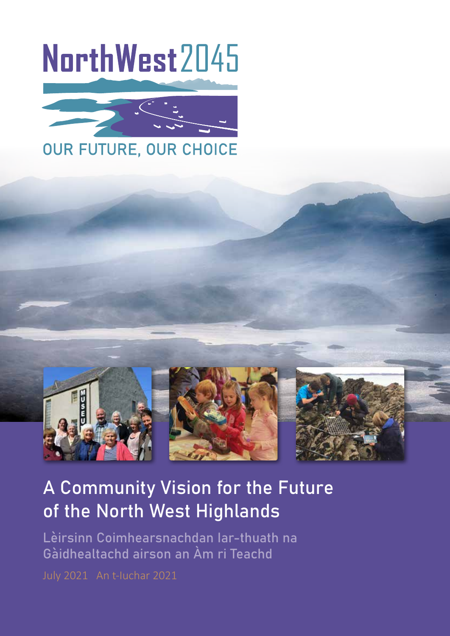# NorthWest2045





# A Community Vision for the Future of the North West Highlands

Lèirsinn Coimhearsnachdan Iar-thuath na Gàidhealtachd airson an Àm ri Teachd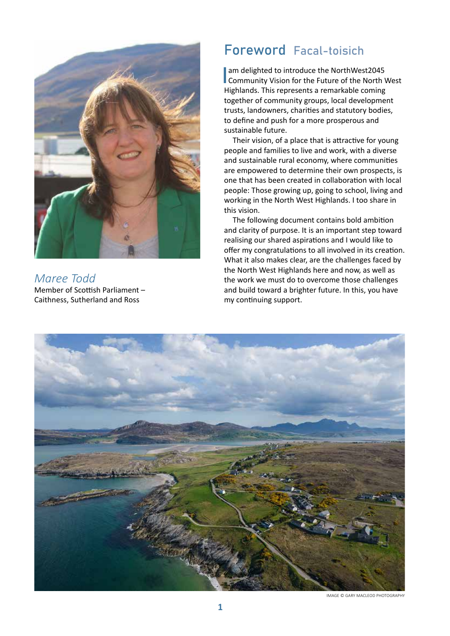

*Maree Todd* Member of Scottish Parliament – Caithness, Sutherland and Ross

# Foreword Facal-toisich

am delighted to introduce the NorthWest2045<br>Community Vision for the Future of the North West Highlands. This represents a remarkable coming together of community groups, local development trusts, landowners, charities and statutory bodies, to define and push for a more prosperous and sustainable future.

Their vision, of a place that is attractive for young people and families to live and work, with a diverse and sustainable rural economy, where communities are empowered to determine their own prospects, is one that has been created in collaboration with local people: Those growing up, going to school, living and working in the North West Highlands. I too share in this vision.

The following document contains bold ambition and clarity of purpose. It is an important step toward realising our shared aspirations and I would like to offer my congratulations to all involved in its creation. What it also makes clear, are the challenges faced by the North West Highlands here and now, as well as the work we must do to overcome those challenges and build toward a brighter future. In this, you have my continuing support.



IMAGE © GARY MACLEOD PHOTOGRAPHY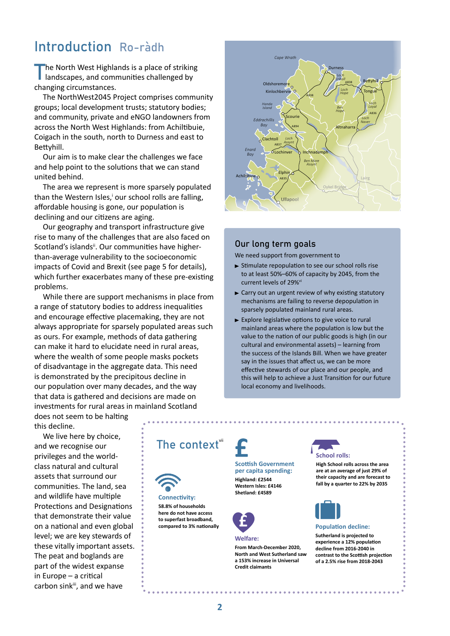# Introduction Ro-ràdh

The North West Highlands is a place of striking<br>
landscapes, and communities challenged by changing circumstances.

The NorthWest2045 Project comprises community groups; local development trusts; statutory bodies; and community, private and eNGO landowners from across the North West Highlands: from Achiltibuie, Coigach in the south, north to Durness and east to Bettyhill.

Our aim is to make clear the challenges we face and help point to the solutions that we can stand united behind.

The area we represent is more sparsely populated than the Western Isles,<sup>i</sup> our school rolls are falling, affordable housing is gone, our population is declining and our citizens are aging.

Our geography and transport infrastructure give rise to many of the challenges that are also faced on Scotland's islands<sup>ii</sup>. Our communities have higherthan-average vulnerability to the socioeconomic impacts of Covid and Brexit (see page 5 for details), which further exacerbates many of these pre-existing problems.

While there are support mechanisms in place from a range of statutory bodies to address inequalities and encourage effective placemaking, they are not always appropriate for sparsely populated areas such as ours. For example, methods of data gathering can make it hard to elucidate need in rural areas, where the wealth of some people masks pockets of disadvantage in the aggregate data. This need is demonstrated by the precipitous decline in our population over many decades, and the way that data is gathered and decisions are made on investments for rural areas in mainland Scotland



#### Our long term goals

We need support from government to

- $\triangleright$  Stimulate repopulation to see our school rolls rise to at least 50%–60% of capacity by 2045, from the current levels of 29%<sup>vi</sup>
- $\blacktriangleright$  Carry out an urgent review of why existing statutory mechanisms are failing to reverse depopulation in sparsely populated mainland rural areas.
- $\blacktriangleright$  Explore legislative options to give voice to rural mainland areas where the population is low but the value to the nation of our public goods is high (in our cultural and environmental assets) – learning from the success of the Islands Bill. When we have greater say in the issues that affect us, we can be more effective stewards of our place and our people, and this will help to achieve a Just Transition for our future local economy and livelihoods.

does not seem to be halting this decline.

We live here by choice, and we recognise our privileges and the worldclass natural and cultural assets that surround our communities. The land, sea and wildlife have multiple Protections and Designations that demonstrate their value on a national and even global level; we are key stewards of these vitally important assets. The peat and boglands are part of the widest expanse in Europe – a critical carbon sinkiii, and we have





**Connectivity: 58.8% of households here do not have access to superfast broadband,** 

#### **Highland: £2544 Western Isles: £4146 Shetland: £4589**

**Scottish Government per capita spending:** 



#### **Welfare:**

**From March-December 2020, North and West Sutherland saw a 153% increase in Universal Credit claimants**



## **School rolls:**

**High School rolls across the area are at an average of just 29% of their capacity and are forecast to fall by a quarter to 22% by 2035**



#### **Population decline:**

**Sutherland is projected to experience a 12% population decline from 2016-2040 in contrast to the Scottish projection of a 2.5% rise from 2018-2043**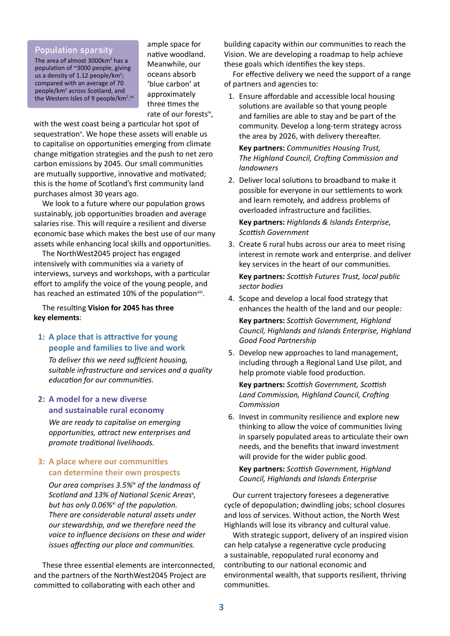# Population sparsity

The area of almost 3000km<sup>2</sup> has a population of ~3000 people, giving us a density of 1.12 people/ $km^2$ ; compared with an average of 70 people/km<sup>2</sup> across Scotland, and the Western Isles of 9 people/km<sup>2</sup>.xii ample space for native woodland. Meanwhile, our oceans absorb 'blue carbon' at approximately three times the rate of our forestsiv,

with the west coast being a particular hot spot of sequestration<sup>v</sup>. We hope these assets will enable us to capitalise on opportunities emerging from climate change mitigation strategies and the push to net zero carbon emissions by 2045. Our small communities are mutually supportive, innovative and motivated; this is the home of Scotland's first community land purchases almost 30 years ago.

We look to a future where our population grows sustainably, job opportunities broaden and average salaries rise. This will require a resilient and diverse economic base which makes the best use of our many assets while enhancing local skills and opportunities.

The NorthWest2045 project has engaged intensively with communities via a variety of interviews, surveys and workshops, with a particular effort to amplify the voice of the young people, and has reached an estimated 10% of the population<sup>viii</sup>.

The resulting **Vision for 2045 has three key elements**:

## **1: A place that is attractive for young people and families to live and work**

 *To deliver this we need sufficient housing, suitable infrastructure and services and a quality education for our communities.*

## **2: A model for a new diverse and sustainable rural economy**

 *We are ready to capitalise on emerging opportunities, attract new enterprises and promote traditional livelihoods.*

# **3: A place where our communities can determine their own prospects**

 *Our area comprises 3.5%*ix *of the landmass of* Scotland and 13% of National Scenic Areas<sup>x</sup>, *but has only 0.06%*xi *of the population. There are considerable natural assets under our stewardship, and we therefore need the voice to influence decisions on these and wider issues affecting our place and communities.*

These three essential elements are interconnected, and the partners of the NorthWest2045 Project are committed to collaborating with each other and

building capacity within our communities to reach the Vision. We are developing a roadmap to help achieve these goals which identifies the key steps.

For effective delivery we need the support of a range of partners and agencies to:

1. Ensure affordable and accessible local housing solutions are available so that young people and families are able to stay and be part of the community. Develop a long-term strategy across the area by 2026, with delivery thereafter.

**Key partners:** *Communities Housing Trust, The Highland Council, Crofting Commission and landowners*

2. Deliver local solutions to broadband to make it possible for everyone in our settlements to work and learn remotely, and address problems of overloaded infrastructure and facilities.

**Key partners:** *Highlands & Islands Enterprise, Scottish Government*

- 3. Create 6 rural hubs across our area to meet rising interest in remote work and enterprise. and deliver key services in the heart of our communities. **Key partners:** *Scottish Futures Trust, local public sector bodies*
- 4. Scope and develop a local food strategy that enhances the health of the land and our people: **Key partners:** *Scottish Government, Highland Council, Highlands and Islands Enterprise, Highland Good Food Partnership*
- 5. Develop new approaches to land management, including through a Regional Land Use pilot, and help promote viable food production.

**Key partners:** *Scottish Government, Scottish Land Commission, Highland Council, Crofting Commission*

6. Invest in community resilience and explore new thinking to allow the voice of communities living in sparsely populated areas to articulate their own needs, and the benefits that inward investment will provide for the wider public good.

**Key partners:** *Scottish Government, Highland Council, Highlands and Islands Enterprise*

Our current trajectory foresees a degenerative cycle of depopulation; dwindling jobs; school closures and loss of services. Without action, the North West Highlands will lose its vibrancy and cultural value.

With strategic support, delivery of an inspired vision can help catalyse a regenerative cycle producing a sustainable, repopulated rural economy and contributing to our national economic and environmental wealth, that supports resilient, thriving communities.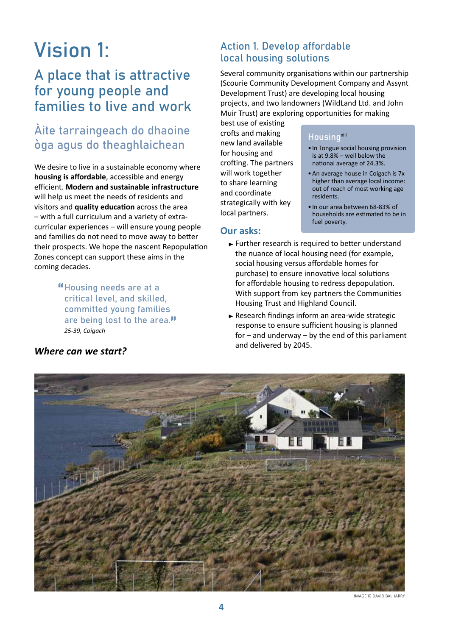# Vision 1:

# A place that is attractive for young people and families to live and work

# Àite tarraingeach do dhaoine òga agus do theaghlaichean

We desire to live in a sustainable economy where **housing is affordable**, accessible and energy efficient. **Modern and sustainable infrastructure** will help us meet the needs of residents and visitors and **quality education** across the area – with a full curriculum and a variety of extracurricular experiences – will ensure young people and families do not need to move away to better their prospects. We hope the nascent Repopulation Zones concept can support these aims in the coming decades.

> "Housing needs are at a critical level, and skilled, committed young families are being lost to the area."  *25-39, Coigach*

# Action 1. Develop affordable local housing solutions

Several community organisations within our partnership (Scourie Community Development Company and Assynt Development Trust) are developing local housing projects, and two landowners (WildLand Ltd. and John Muir Trust) are exploring opportunities for making

best use of existing crofts and making new land available for housing and crofting. The partners will work together to share learning and coordinate strategically with key local partners.

# **Our asks:**

## **Housing**xiii

- In Tongue social housing provision is at 9.8% – well below the national average of 24.3%.
- •An average house in Coigach is 7x higher than average local income: out of reach of most working age residents.
- In our area between 68-83% of households are estimated to be in fuel poverty.
- $\blacktriangleright$  Further research is required to better understand the nuance of local housing need (for example, social housing versus affordable homes for purchase) to ensure innovative local solutions for affordable housing to redress depopulation. With support from key partners the Communities Housing Trust and Highland Council.
- $\blacktriangleright$  Research findings inform an area-wide strategic response to ensure sufficient housing is planned for – and underway – by the end of this parliament and delivered by 2045.



IMAGE © DAVID BALHARRY

# *Where can we start?*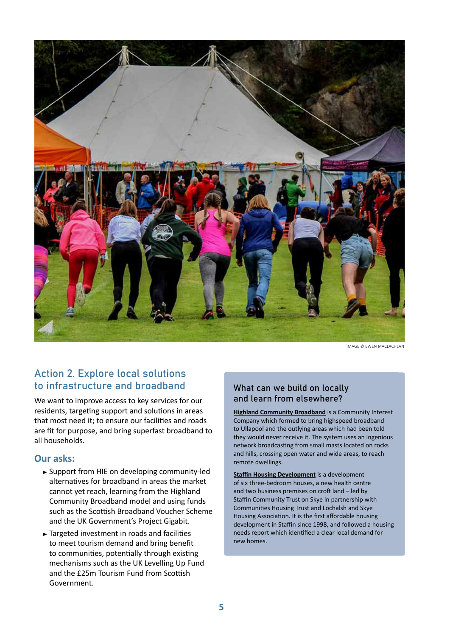

IMAGE © EWEN MACLACHLAN

# Action 2. Explore local solutions to infrastructure and broadband

We want to improve access to key services for our residents, targeting support and solutions in areas that most need it; to ensure our facilities and roads are fit for purpose, and bring superfast broadband to all households.

## **Our asks:**

- Support from HIE on developing community-led alternatives for broadband in areas the market cannot yet reach, learning from the Highland Community Broadband model and using funds such as the Scottish Broadband Voucher Scheme and the UK Government's Project Gigabit.
- ► Targeted investment in roads and facilities to meet tourism demand and bring benefit to communities, potentially through existing mechanisms such as the UK Levelling Up Fund and the £25m Tourism Fund from Scottish Government.

# What can we build on locally and learn from elsewhere?

**[Highland Community Broadband](https://www.hcbroadband.co.uk/)** is a Community Interest Company which formed to bring highspeed broadband to Ullapool and the outlying areas which had been told they would never receive it. The system uses an ingenious network broadcasting from small masts located on rocks and hills, crossing open water and wide areas, to reach remote dwellings.

**[Staffin Housing Development](https://skyeecomuseum.com/housing-health-and-business-development)** is a development of six three-bedroom houses, a new health centre and two business premises on croft land – led by Staffin Community Trust on Skye in partnership with Communities Housing Trust and Lochalsh and Skye Housing Association. It is the first affordable housing development in Staffin since 1998, and followed a housing needs report which identified a clear local demand for new homes.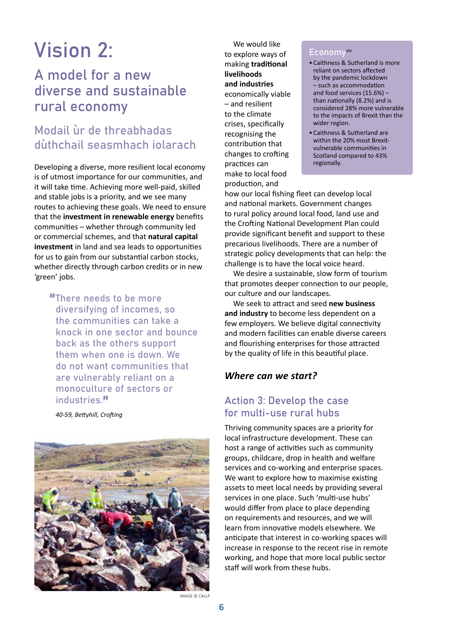# Vision 2:

# A model for a new diverse and sustainable rural economy

# Modail ùr de threabhadas dùthchail seasmhach iolarach

Developing a diverse, more resilient local economy is of utmost importance for our communities, and it will take time. Achieving more well-paid, skilled and stable jobs is a priority, and we see many routes to achieving these goals. We need to ensure that the **investment in renewable energy** benefits communities – whether through community led or commercial schemes, and that **natural capital investment** in land and sea leads to opportunities for us to gain from our substantial carbon stocks, whether directly through carbon credits or in new 'green' jobs.

"There needs to be more diversifying of incomes, so the communities can take a knock in one sector and bounce back as the others support them when one is down. We do not want communities that are vulnerably reliant on a monoculture of sectors or industries<sup>"</sup>

*40-59, Bettyhill, Crofting*



We would like to explore ways of making **traditional livelihoods and industries** economically viable – and resilient to the climate crises, specifically recognising the contribution that changes to crofting practices can make to local food production, and

#### Economyxiv

- •Caithness & Sutherland is more reliant on sectors affected by the pandemic lockdown – such as accommodation and food services (15.6%) – than nationally (8.2%) and is considered 28% more vulnerable to the impacts of Brexit than the wider region.
- •Caithness & Sutherland are within the 20% most Brexitvulnerable communities in Scotland compared to 43% regionally.

how our local fishing fleet can develop local and national markets. Government changes to rural policy around local food, land use and the Crofting National Development Plan could provide significant benefit and support to these precarious livelihoods. There are a number of strategic policy developments that can help: the challenge is to have the local voice heard.

We desire a sustainable, slow form of tourism that promotes deeper connection to our people, our culture and our landscapes.

We seek to attract and seed **new business and industry** to become less dependent on a few employers. We believe digital connectivity and modern facilities can enable diverse careers and flourishing enterprises for those attracted by the quality of life in this beautiful place.

## *Where can we start?*

# Action 3: Develop the case for multi-use rural hubs

Thriving community spaces are a priority for local infrastructure development. These can host a range of activities such as community groups, childcare, drop in health and welfare services and co-working and enterprise spaces. We want to explore how to maximise existing assets to meet local needs by providing several services in one place. Such 'multi-use hubs' would differ from place to place depending on requirements and resources, and we will learn from innovative models elsewhere. We anticipate that interest in co-working spaces will increase in response to the recent rise in remote working, and hope that more local public sector staff will work from these hubs.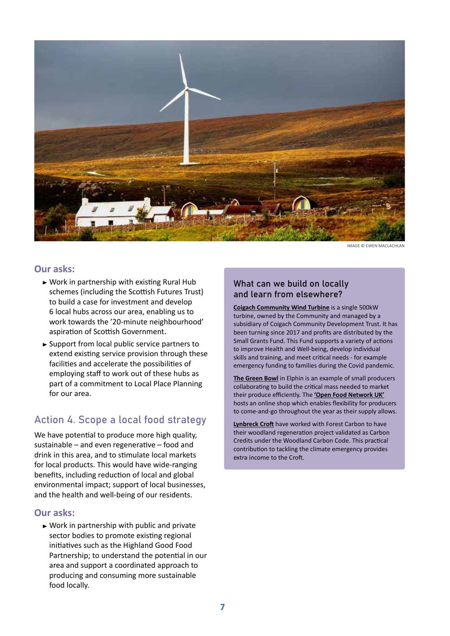

IMAGE © EWEN MACLACHLAN

#### **Our asks:**

- $\triangleright$  Work in partnership with existing Rural Hub schemes (including the Scottish Futures Trust) to build a case for investment and develop 6 local hubs across our area, enabling us to work towards the '20-minute neighbourhood' aspiration of Scottish Government.
- $\triangleright$  Support from local public service partners to extend existing service provision through these facilities and accelerate the possibilities of employing staff to work out of these hubs as part of a commitment to Local Place Planning for our area.

# Action 4. Scope a local food strategy

We have potential to produce more high quality, sustainable – and even regenerative – food and drink in this area, and to stimulate local markets for local products. This would have wide-ranging benefits, including reduction of local and global environmental impact; support of local businesses, and the health and well-being of our residents.

#### **Our asks:**

 $\triangleright$  Work in partnership with public and private sector bodies to promote existing regional initiatives such as the Highland Good Food Partnership; to understand the potential in our area and support a coordinated approach to producing and consuming more sustainable food locally.

# What can we build on locally and learn from elsewhere?

**[Coigach Community Wind Turbine](https://coigachwindpower.wordpress.com/about/)** is a single 500kW turbine, owned by the Community and managed by a subsidiary of Coigach Community Development Trust. It has been turning since 2017 and profits are distributed by the Small Grants Fund. This Fund supports a variety of actions to improve Health and Well-being, develop individual skills and training, and meet critical needs - for example emergency funding to families during the Covid pandemic.

**[The Green Bowl](https://www.facebook.com/GreenBowlFood)** in Elphin is an example of small producers collaborating to build the critical mass needed to market their produce efficiently. The **['Open Food Network UK'](C:\Users\Inspiron 14\Downloads\openfoodnetwork.org.uk)** hosts an online shop which enables flexibility for producers to come-and-go throughout the year as their supply allows.

**[Lynbreck Croft](https://forestry.gov.scot/news-releases/woodland-carbon-code-is-win-win-win-for-award-winning-crofters)** have worked with Forest Carbon to have their woodland regeneration project validated as Carbon Credits under the Woodland Carbon Code. This practical contribution to tackling the climate emergency provides extra income to the Croft.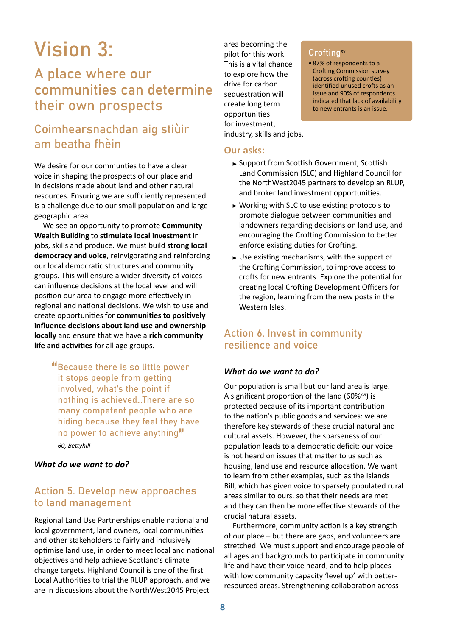# Vision 3:

# A place where our communities can determine their own prospects

# Coimhearsnachdan aig stiùir am beatha fhèin

We desire for our communties to have a clear voice in shaping the prospects of our place and in decisions made about land and other natural resources. Ensuring we are sufficiently represented is a challenge due to our small population and large geographic area.

We see an opportunity to promote **Community Wealth Building** to **stimulate local investment** in jobs, skills and produce. We must build **strong local democracy and voice**, reinvigorating and reinforcing our local democratic structures and community groups. This will ensure a wider diversity of voices can influence decisions at the local level and will position our area to engage more effectively in regional and national decisions. We wish to use and create opportunities for **communities to positively influence decisions about land use and ownership locally** and ensure that we have a **rich community life and activities** for all age groups.

> "Because there is so little power it stops people from getting involved, what's the point if nothing is achieved…There are so many competent people who are hiding because they feel they have no power to achieve anything"  *60, Bettyhill*

#### *What do we want to do?*

# Action 5. Develop new approaches to land management

Regional Land Use Partnerships enable national and local government, land owners, local communities and other stakeholders to fairly and inclusively optimise land use, in order to meet local and national objectives and help achieve Scotland's climate change targets. Highland Council is one of the first Local Authorities to trial the RLUP approach, and we are in discussions about the NorthWest2045 Project

area becoming the pilot for this work. This is a vital chance to explore how the drive for carbon sequestration will create long term opportunities for investment, industry, skills and jobs.

**Our asks:**

#### Crofting<sup>xv</sup>

- 87% of respondents to a Crofting Commission survey (across crofting counties) identified unused crofts as an issue and 90% of respondents indicated that lack of availability to new entrants is an issue.
- ► Support from Scottish Government, Scottish Land Commission (SLC) and Highland Council for the NorthWest2045 partners to develop an RLUP, and broker land investment opportunities.
- ► Working with SLC to use existing protocols to promote dialogue between communities and landowners regarding decisions on land use, and encouraging the Crofting Commission to better enforce existing duties for Crofting.
- Use existing mechanisms, with the support of the Crofting Commission, to improve access to crofts for new entrants. Explore the potential for creating local Crofting Development Officers for the region, learning from the new posts in the Western Isles.

# Action 6. Invest in community resilience and voice

## *What do we want to do?*

Our population is small but our land area is large. A significant proportion of the land  $(60\%<sup>xxi</sup>)$  is protected because of its important contribution to the nation's public goods and services: we are therefore key stewards of these crucial natural and cultural assets. However, the sparseness of our population leads to a democratic deficit: our voice is not heard on issues that matter to us such as housing, land use and resource allocation. We want to learn from other examples, such as the Islands Bill, which has given voice to sparsely populated rural areas similar to ours, so that their needs are met and they can then be more effective stewards of the crucial natural assets.

Furthermore, community action is a key strength of our place – but there are gaps, and volunteers are stretched. We must support and encourage people of all ages and backgrounds to participate in community life and have their voice heard, and to help places with low community capacity 'level up' with betterresourced areas. Strengthening collaboration across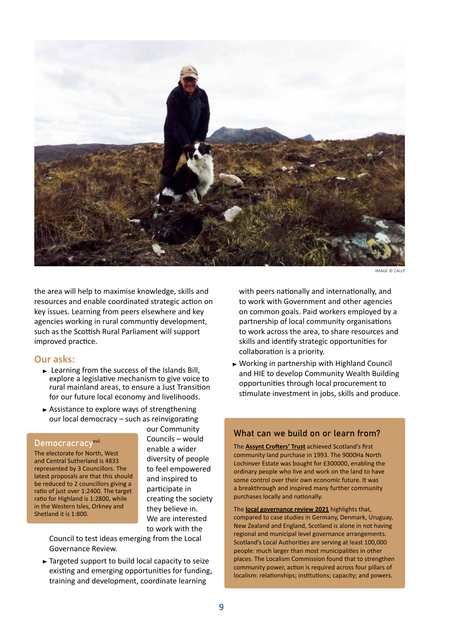

IMAGE © CALLP

the area will help to maximise knowledge, skills and resources and enable coordinated strategic action on key issues. Learning from peers elsewhere and key agencies working in rural communtiy development, such as the Scottish Rural Parliament will support improved practice.

#### **Our asks:**

- $\blacktriangleright$  Learning from the success of the Islands Bill, explore a legislative mechanism to give voice to rural mainland areas, to ensure a Just Transition for our future local economy and livelihoods.
- $\blacktriangleright$  Assistance to explore ways of strengthening our local democracy – such as reinvigorating

## Democracracyxvii

The electorate for North, West and Central Sutherland is 4833 represented by 3 Councillors. The latest proposals are that this should be reduced to 2 councillors giving a ratio of just over 1:2400. The target ratio for Highland is 1:2800, while in the Western Isles, Orkney and Shetland it is 1:800.

our Community Councils – would enable a wider diversity of people to feel empowered and inspired to participate in creating the society they believe in. We are interested to work with the

Council to test ideas emerging from the Local Governance Review.

Targeted support to build local capacity to seize existing and emerging opportunities for funding, training and development, coordinate learning

with peers nationally and internationally, and to work with Government and other agencies on common goals. Paid workers employed by a partnership of local community organisations to work across the area, to share resources and skills and identify strategic opportunities for collaboration is a priority.

Working in partnership with Highland Council and HIE to develop Community Wealth Building opportunities through local procurement to stimulate investment in jobs, skills and produce.

## What can we build on or learn from?

The **[Assynt Crofters' Trust](http://www.theassyntcrofters.co.uk/)** achieved Scotland's first community land purchase in 1993. The 9000Ha North Lochinver Estate was bought for £300000, enabling the ordinary people who live and work on the land to have some control over their own economic future. It was a breakthrough and inspired many further community purchases locally and nationally.

The **[local governance review 2021](https://www.gov.scot/policies/improving-public-services/local-governance-review/)** highlights that, compared to case studies in Germany, Denmark, Uruguay, New Zealand and England, Scotland is alone in not having regional and municipal level governance arrangements. Scotland's Local Authorities are serving at least 100,000 people: much larger than most municipalities in other places. The Localism Commission found that to strengthen community power, action is required across four pillars of localism: relationships; institutions; capacity; and powers.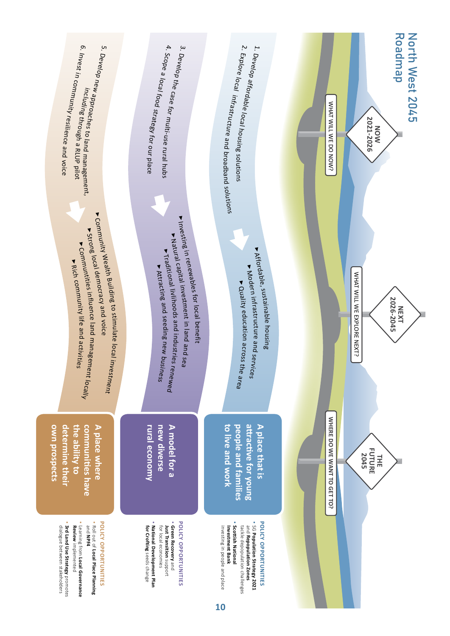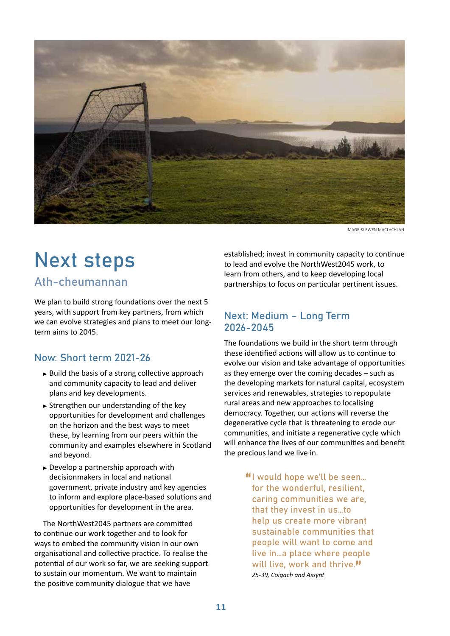

IMAGE © EWEN MACLACHLAN

# Next steps

# Ath-cheumannan

We plan to build strong foundations over the next 5 years, with support from key partners, from which we can evolve strategies and plans to meet our longterm aims to 2045.

# Now: Short term 2021-26

- $\blacktriangleright$  Build the basis of a strong collective approach and community capacity to lead and deliver plans and key developments.
- $\triangleright$  Strengthen our understanding of the key opportunities for development and challenges on the horizon and the best ways to meet these, by learning from our peers within the community and examples elsewhere in Scotland and beyond.
- ► Develop a partnership approach with decisionmakers in local and national government, private industry and key agencies to inform and explore place-based solutions and opportunities for development in the area.

The NorthWest2045 partners are committed to continue our work together and to look for ways to embed the community vision in our own organisational and collective practice. To realise the potential of our work so far, we are seeking support to sustain our momentum. We want to maintain the positive community dialogue that we have

established; invest in community capacity to continue to lead and evolve the NorthWest2045 work, to learn from others, and to keep developing local partnerships to focus on particular pertinent issues.

# Next: Medium – Long Term 2026-2045

The foundations we build in the short term through these identified actions will allow us to continue to evolve our vision and take advantage of opportunities as they emerge over the coming decades – such as the developing markets for natural capital, ecosystem services and renewables, strategies to repopulate rural areas and new approaches to localising democracy. Together, our actions will reverse the degenerative cycle that is threatening to erode our communities, and initiate a regenerative cycle which will enhance the lives of our communities and benefit the precious land we live in.

> "I would hope we'll be seen… for the wonderful, resilient, caring communities we are, that they invest in us…to help us create more vibrant sustainable communities that people will want to come and live in…a place where people will live, work and thrive."  *25-39, Coigach and Assynt*